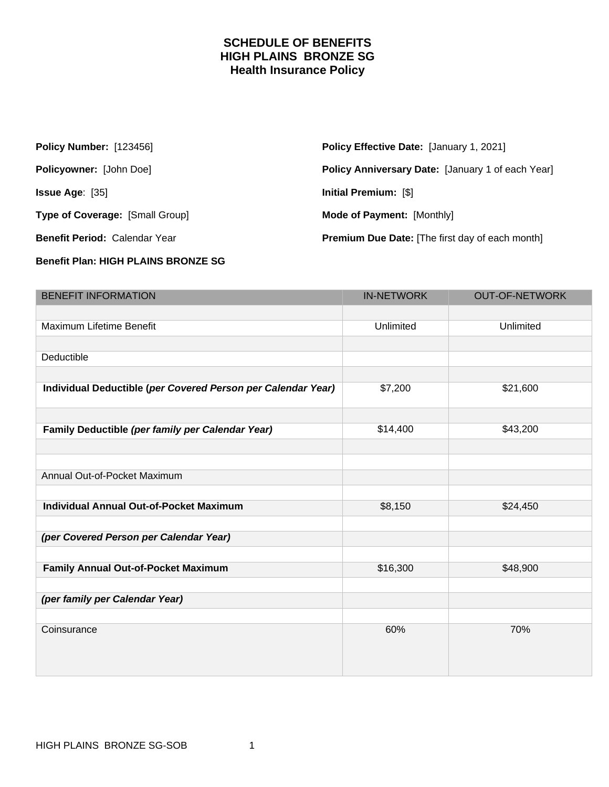### **SCHEDULE OF BENEFITS HIGH PLAINS BRONZE SG Health Insurance Policy**

| <b>Policy Number: [123456]</b>       | <b>Policy Effective Date: [January 1, 2021]</b>        |
|--------------------------------------|--------------------------------------------------------|
| <b>Policyowner: [John Doe]</b>       | Policy Anniversary Date: [January 1 of each Year]      |
| <b>Issue Age:</b> $[35]$             | Initial Premium: [\$]                                  |
| Type of Coverage: [Small Group]      | <b>Mode of Payment: [Monthly]</b>                      |
| <b>Benefit Period: Calendar Year</b> | <b>Premium Due Date:</b> [The first day of each month] |

#### **Benefit Plan: HIGH PLAINS BRONZE SG**

| <b>BENEFIT INFORMATION</b>                                   | <b>IN-NETWORK</b> | <b>OUT-OF-NETWORK</b> |
|--------------------------------------------------------------|-------------------|-----------------------|
|                                                              |                   |                       |
| Maximum Lifetime Benefit                                     | Unlimited         | Unlimited             |
|                                                              |                   |                       |
| Deductible                                                   |                   |                       |
|                                                              |                   |                       |
| Individual Deductible (per Covered Person per Calendar Year) | \$7,200           | \$21,600              |
|                                                              |                   |                       |
| Family Deductible (per family per Calendar Year)             | \$14,400          | \$43,200              |
|                                                              |                   |                       |
|                                                              |                   |                       |
| Annual Out-of-Pocket Maximum                                 |                   |                       |
|                                                              |                   |                       |
| <b>Individual Annual Out-of-Pocket Maximum</b>               | \$8,150           | \$24,450              |
|                                                              |                   |                       |
| (per Covered Person per Calendar Year)                       |                   |                       |
|                                                              |                   |                       |
| Family Annual Out-of-Pocket Maximum                          | \$16,300          | \$48,900              |
|                                                              |                   |                       |
| (per family per Calendar Year)                               |                   |                       |
|                                                              |                   |                       |
| Coinsurance                                                  | 60%               | 70%                   |
|                                                              |                   |                       |
|                                                              |                   |                       |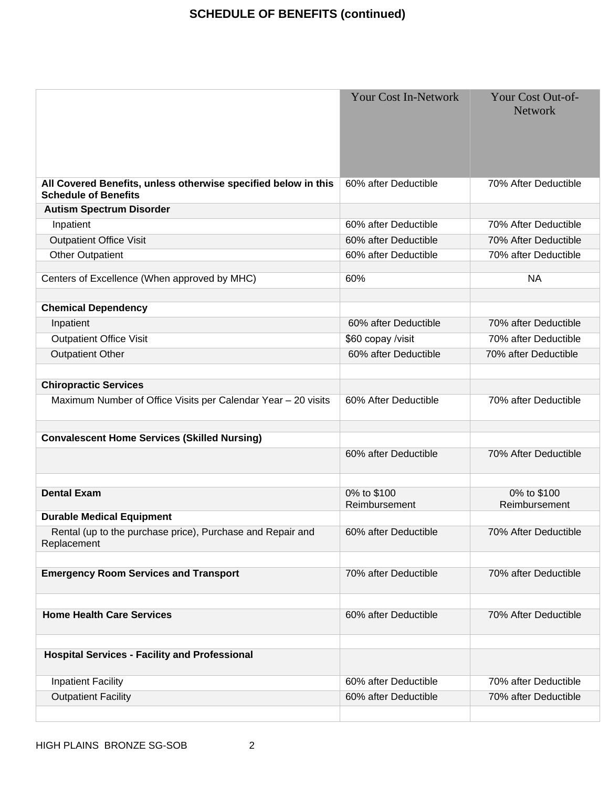# **SCHEDULE OF BENEFITS (continued)**

|                                                                                               | <b>Your Cost In-Network</b>  | Your Cost Out-of-<br><b>Network</b> |
|-----------------------------------------------------------------------------------------------|------------------------------|-------------------------------------|
| All Covered Benefits, unless otherwise specified below in this<br><b>Schedule of Benefits</b> | 60% after Deductible         | 70% After Deductible                |
| <b>Autism Spectrum Disorder</b>                                                               |                              |                                     |
| Inpatient                                                                                     | 60% after Deductible         | 70% After Deductible                |
| <b>Outpatient Office Visit</b>                                                                | 60% after Deductible         | 70% After Deductible                |
| <b>Other Outpatient</b>                                                                       | 60% after Deductible         | 70% after Deductible                |
| Centers of Excellence (When approved by MHC)                                                  | 60%                          | <b>NA</b>                           |
| <b>Chemical Dependency</b>                                                                    |                              |                                     |
| Inpatient                                                                                     | 60% after Deductible         | 70% after Deductible                |
| <b>Outpatient Office Visit</b>                                                                | \$60 copay /visit            | 70% after Deductible                |
| <b>Outpatient Other</b>                                                                       | 60% after Deductible         | 70% after Deductible                |
|                                                                                               |                              |                                     |
| <b>Chiropractic Services</b>                                                                  |                              |                                     |
| Maximum Number of Office Visits per Calendar Year - 20 visits                                 | 60% After Deductible         | 70% after Deductible                |
| <b>Convalescent Home Services (Skilled Nursing)</b>                                           |                              |                                     |
|                                                                                               | 60% after Deductible         | 70% After Deductible                |
| <b>Dental Exam</b>                                                                            | 0% to \$100<br>Reimbursement | 0% to \$100<br>Reimbursement        |
| <b>Durable Medical Equipment</b>                                                              |                              |                                     |
| Rental (up to the purchase price), Purchase and Repair and<br>Replacement                     | 60% after Deductible         | 70% After Deductible                |
| <b>Emergency Room Services and Transport</b>                                                  | 70% after Deductible         | 70% after Deductible                |
| <b>Home Health Care Services</b>                                                              | 60% after Deductible         | 70% After Deductible                |
| <b>Hospital Services - Facility and Professional</b>                                          |                              |                                     |
| <b>Inpatient Facility</b>                                                                     | 60% after Deductible         | 70% after Deductible                |
| <b>Outpatient Facility</b>                                                                    | 60% after Deductible         | 70% after Deductible                |
|                                                                                               |                              |                                     |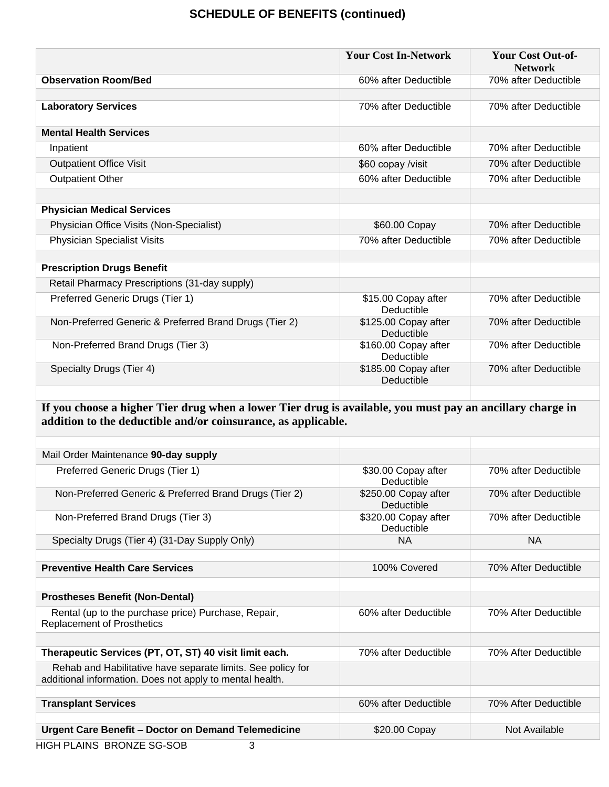### **SCHEDULE OF BENEFITS (continued)**

|                                                        | <b>Your Cost In-Network</b>        | <b>Your Cost Out-of-</b><br><b>Network</b> |
|--------------------------------------------------------|------------------------------------|--------------------------------------------|
| <b>Observation Room/Bed</b>                            | 60% after Deductible               | 70% after Deductible                       |
|                                                        |                                    |                                            |
| <b>Laboratory Services</b>                             | 70% after Deductible               | 70% after Deductible                       |
| <b>Mental Health Services</b>                          |                                    |                                            |
| Inpatient                                              | 60% after Deductible               | 70% after Deductible                       |
| <b>Outpatient Office Visit</b>                         | \$60 copay /visit                  | 70% after Deductible                       |
| <b>Outpatient Other</b>                                | 60% after Deductible               | 70% after Deductible                       |
|                                                        |                                    |                                            |
| <b>Physician Medical Services</b>                      |                                    |                                            |
| Physician Office Visits (Non-Specialist)               | \$60.00 Copay                      | 70% after Deductible                       |
| <b>Physician Specialist Visits</b>                     | 70% after Deductible               | 70% after Deductible                       |
|                                                        |                                    |                                            |
| <b>Prescription Drugs Benefit</b>                      |                                    |                                            |
| Retail Pharmacy Prescriptions (31-day supply)          |                                    |                                            |
| Preferred Generic Drugs (Tier 1)                       | \$15.00 Copay after<br>Deductible  | 70% after Deductible                       |
| Non-Preferred Generic & Preferred Brand Drugs (Tier 2) | \$125.00 Copay after<br>Deductible | 70% after Deductible                       |
| Non-Preferred Brand Drugs (Tier 3)                     | \$160.00 Copay after<br>Deductible | 70% after Deductible                       |
| Specialty Drugs (Tier 4)                               | \$185.00 Copay after<br>Deductible | 70% after Deductible                       |
|                                                        |                                    |                                            |

**If you choose a higher Tier drug when a lower Tier drug is available, you must pay an ancillary charge in addition to the deductible and/or coinsurance, as applicable.**

| Mail Order Maintenance 90-day supply                                                                                    |                                    |                      |
|-------------------------------------------------------------------------------------------------------------------------|------------------------------------|----------------------|
| Preferred Generic Drugs (Tier 1)                                                                                        | \$30.00 Copay after<br>Deductible  | 70% after Deductible |
| Non-Preferred Generic & Preferred Brand Drugs (Tier 2)                                                                  | \$250.00 Copay after<br>Deductible | 70% after Deductible |
| Non-Preferred Brand Drugs (Tier 3)                                                                                      | \$320.00 Copay after<br>Deductible | 70% after Deductible |
| Specialty Drugs (Tier 4) (31-Day Supply Only)                                                                           | <b>NA</b>                          | <b>NA</b>            |
|                                                                                                                         |                                    |                      |
| <b>Preventive Health Care Services</b>                                                                                  | 100% Covered                       | 70% After Deductible |
|                                                                                                                         |                                    |                      |
| <b>Prostheses Benefit (Non-Dental)</b>                                                                                  |                                    |                      |
| Rental (up to the purchase price) Purchase, Repair,<br><b>Replacement of Prosthetics</b>                                | 60% after Deductible               | 70% After Deductible |
|                                                                                                                         |                                    |                      |
| Therapeutic Services (PT, OT, ST) 40 visit limit each.                                                                  | 70% after Deductible               | 70% After Deductible |
| Rehab and Habilitative have separate limits. See policy for<br>additional information. Does not apply to mental health. |                                    |                      |
| <b>Transplant Services</b>                                                                                              | 60% after Deductible               | 70% After Deductible |
|                                                                                                                         |                                    |                      |
| Urgent Care Benefit - Doctor on Demand Telemedicine                                                                     | \$20.00 Copay                      | Not Available        |
| HIGH PLAINS BRONZE SG-SOB<br>3                                                                                          |                                    |                      |